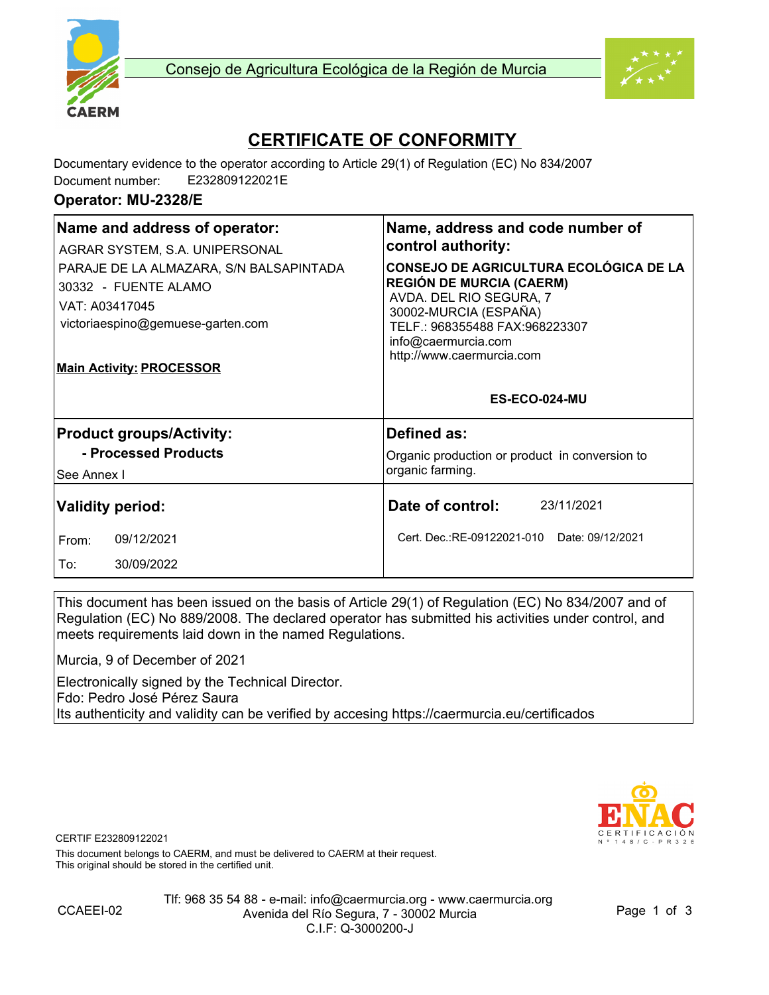



# **CERTIFICATE OF CONFORMITY**

Documentary evidence to the operator according to Article 29(1) of Regulation (EC) No 834/2007 Document number: E232809122021E

#### **Operator: MU-2328/E**

| Name and address of operator:<br>AGRAR SYSTEM, S.A. UNIPERSONAL<br>PARAJE DE LA ALMAZARA, S/N BALSAPINTADA<br>30332 - FUENTE ALAMO<br>VAT: A03417045<br>victoriaespino@gemuese-garten.com<br><b>Main Activity: PROCESSOR</b> | Name, address and code number of<br>control authority:<br>CONSEJO DE AGRICULTURA ECOLÓGICA DE LA<br><b>REGIÓN DE MURCIA (CAERM)</b><br>AVDA. DEL RIO SEGURA, 7<br>30002-MURCIA (ESPAÑA)<br>TELF.: 968355488 FAX:968223307<br>info@caermurcia.com<br>http://www.caermurcia.com<br>ES-ECO-024-MU |
|------------------------------------------------------------------------------------------------------------------------------------------------------------------------------------------------------------------------------|------------------------------------------------------------------------------------------------------------------------------------------------------------------------------------------------------------------------------------------------------------------------------------------------|
| <b>Product groups/Activity:</b><br>- Processed Products<br>See Annex I                                                                                                                                                       | Defined as:<br>Organic production or product in conversion to<br>organic farming.                                                                                                                                                                                                              |
| <b>Validity period:</b><br>09/12/2021<br>From:<br>30/09/2022<br>To:                                                                                                                                                          | Date of control:<br>23/11/2021<br>Cert. Dec.:RE-09122021-010 Date: 09/12/2021                                                                                                                                                                                                                  |

This document has been issued on the basis of Article 29(1) of Regulation (EC) No 834/2007 and of Regulation (EC) No 889/2008. The declared operator has submitted his activities under control, and meets requirements laid down in the named Regulations.

Murcia, 9 of December of 2021

Electronically signed by the Technical Director. Fdo: Pedro José Pérez Saura Its authenticity and validity can be verified by accesing https://caermurcia.eu/certificados



CERTIF E232809122021

This document belongs to CAERM, and must be delivered to CAERM at their request. This original should be stored in the certified unit.



Tlf: 968 35 54 88 - e-mail: info@caermurcia.org - www.caermurcia.org Avenida del Río Segura, 7 - 30002 Murcia C.I.F: Q-3000200-J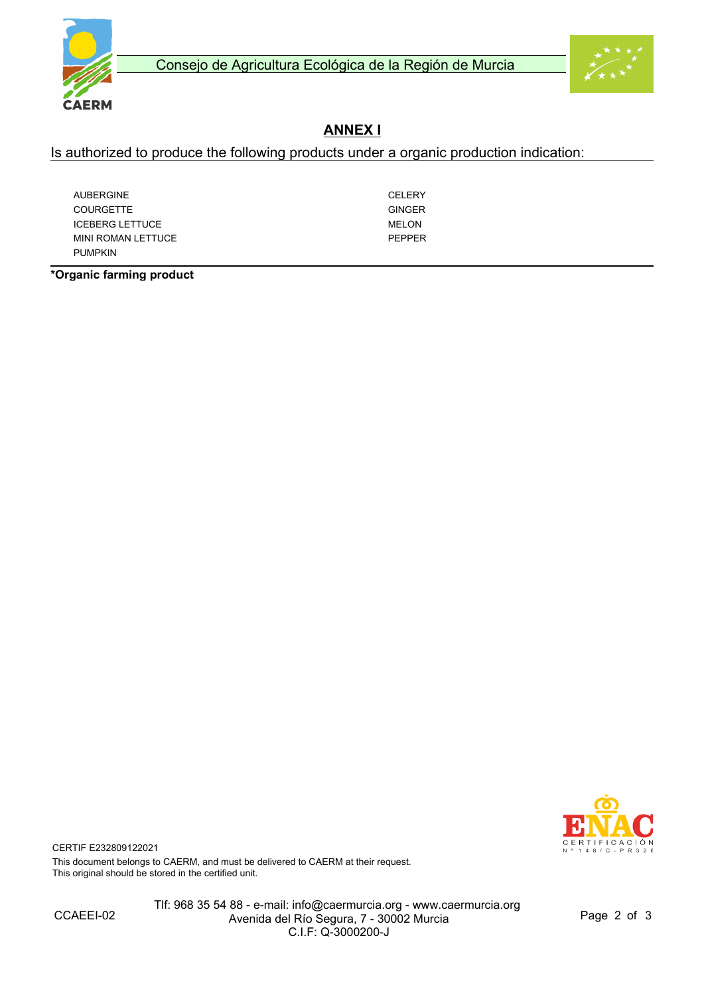



## **ANNEX I**

Is authorized to produce the following products under a organic production indication:

| <b>AUBERGINE</b>       | CFI FRY       |
|------------------------|---------------|
| <b>COURGETTE</b>       | <b>GINGER</b> |
| <b>ICEBERG LETTUCE</b> | MELON         |
| MINI ROMAN LETTUCE     | PFPPFR        |
| <b>PUMPKIN</b>         |               |

**\*Organic farming product**



CERTIF E232809122021 This document belongs to CAERM, and must be delivered to CAERM at their request. This original should be stored in the certified unit.

CCAEEI-02

Tlf: 968 35 54 88 - e-mail: info@caermurcia.org - www.caermurcia.org Avenida del Río Segura, 7 - 30002 Murcia C.I.F: Q-3000200-J